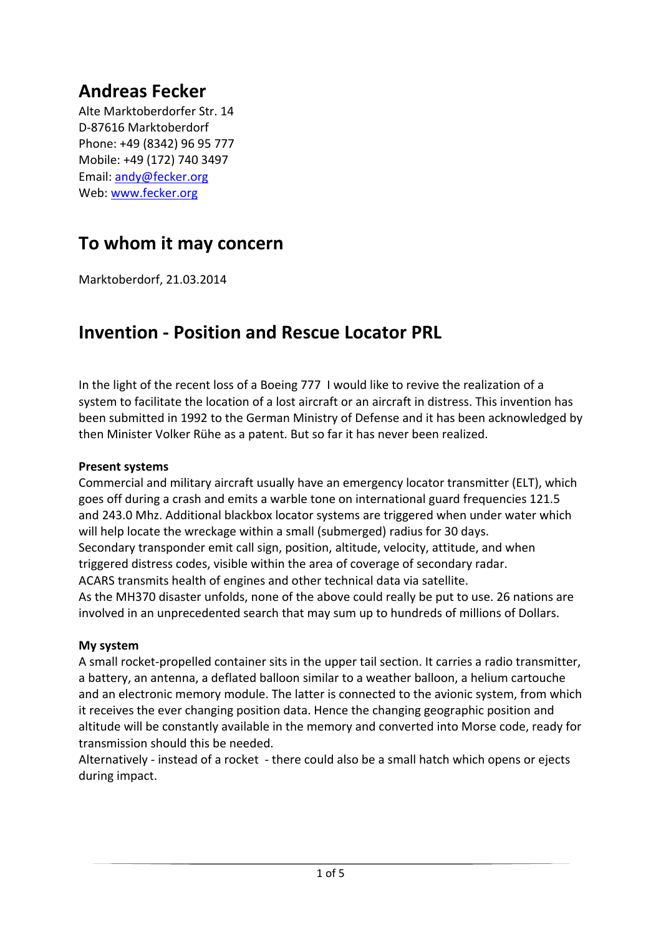# **Andreas Fecker**

Alte Marktoberdorfer Str. 14 D‐87616 Marktoberdorf Phone: +49 (8342) 96 95 777 Mobile: +49 (172) 740 3497 Email: andy@fecker.org Web: www.fecker.org

# **To whom it may concern**

Marktoberdorf, 21.03.2014

# **Invention ‐ Position and Rescue Locator PRL**

In the light of the recent loss of a Boeing 777 I would like to revive the realization of a system to facilitate the location of a lost aircraft or an aircraft in distress. This invention has been submitted in 1992 to the German Ministry of Defense and it has been acknowledged by then Minister Volker Rühe as a patent. But so far it has never been realized.

### **Present systems**

Commercial and military aircraft usually have an emergency locator transmitter (ELT), which goes off during a crash and emits a warble tone on international guard frequencies 121.5 and 243.0 Mhz. Additional blackbox locator systems are triggered when under water which will help locate the wreckage within a small (submerged) radius for 30 days. Secondary transponder emit call sign, position, altitude, velocity, attitude, and when triggered distress codes, visible within the area of coverage of secondary radar. ACARS transmits health of engines and other technical data via satellite. As the MH370 disaster unfolds, none of the above could really be put to use. 26 nations are involved in an unprecedented search that may sum up to hundreds of millions of Dollars.

## **My system**

A small rocket‐propelled container sits in the upper tail section. It carries a radio transmitter, a battery, an antenna, a deflated balloon similar to a weather balloon, a helium cartouche and an electronic memory module. The latter is connected to the avionic system, from which it receives the ever changing position data. Hence the changing geographic position and altitude will be constantly available in the memory and converted into Morse code, ready for transmission should this be needed.

Alternatively ‐ instead of a rocket ‐ there could also be a small hatch which opens or ejects during impact.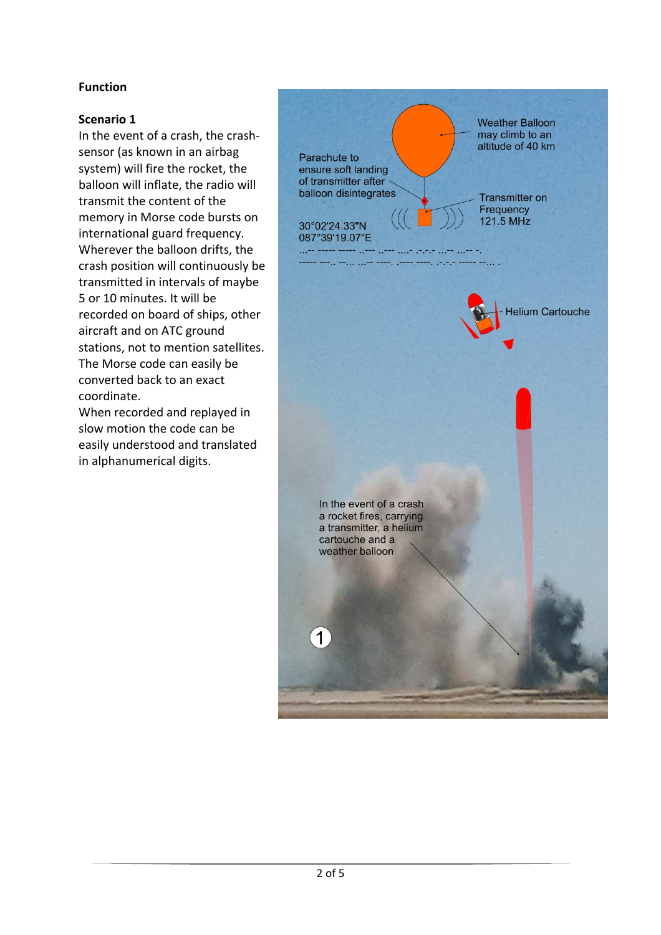## **Function**

### **Scenario 1**

In the event of a crash, the crash‐ sensor (as known in an airbag system) will fire the rocket, the balloon will inflate, the radio will transmit the content of the memory in Morse code bursts on international guard frequency. Wherever the balloon drifts, the crash position will continuously be transmitted in intervals of maybe 5 or 10 minutes. It will be recorded on board of ships, other aircraft and on ATC ground stations, not to mention satellites. The Morse code can easily be converted back to an exact coordinate.

When recorded and replayed in slow motion the code can be easily understood and translated in alphanumerical digits.

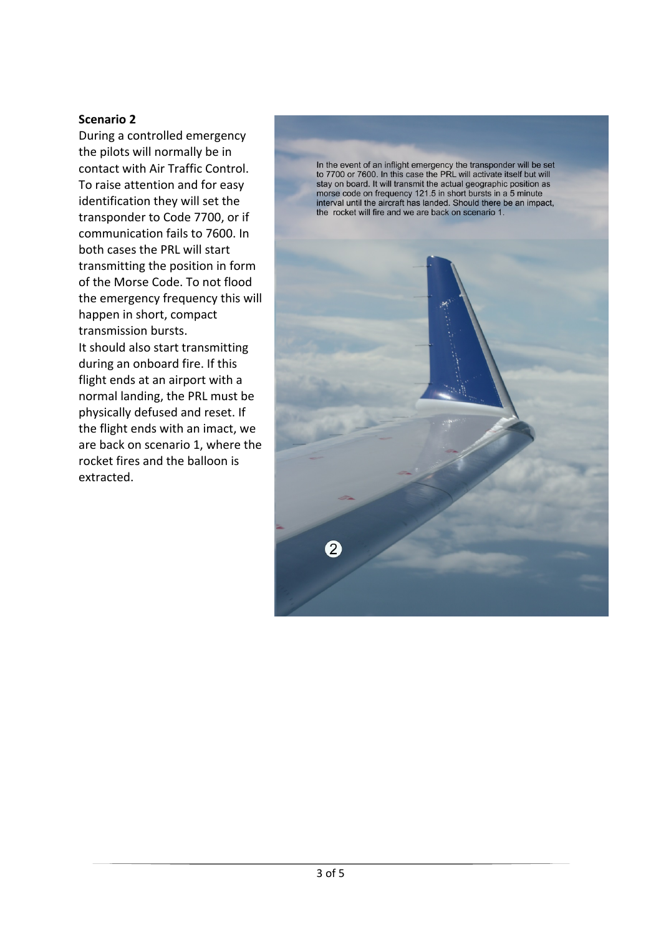#### **Scenario 2**

During a controlled emergency the pilots will normally be in contact with Air Traffic Control. To raise attention and for easy identification they will set the transponder to Code 7700, or if communication fails to 7600. In both cases the PRL will start transmitting the position in form of the Morse Code. To not flood the emergency frequency this will happen in short, compact transmission bursts. It should also start transmitting

during an onboard fire. If this flight ends at an airport with a normal landing, the PRL must be physically defused and reset. If the flight ends with an imact, we are back on scenario 1, where the rocket fires and the balloon is extracted.

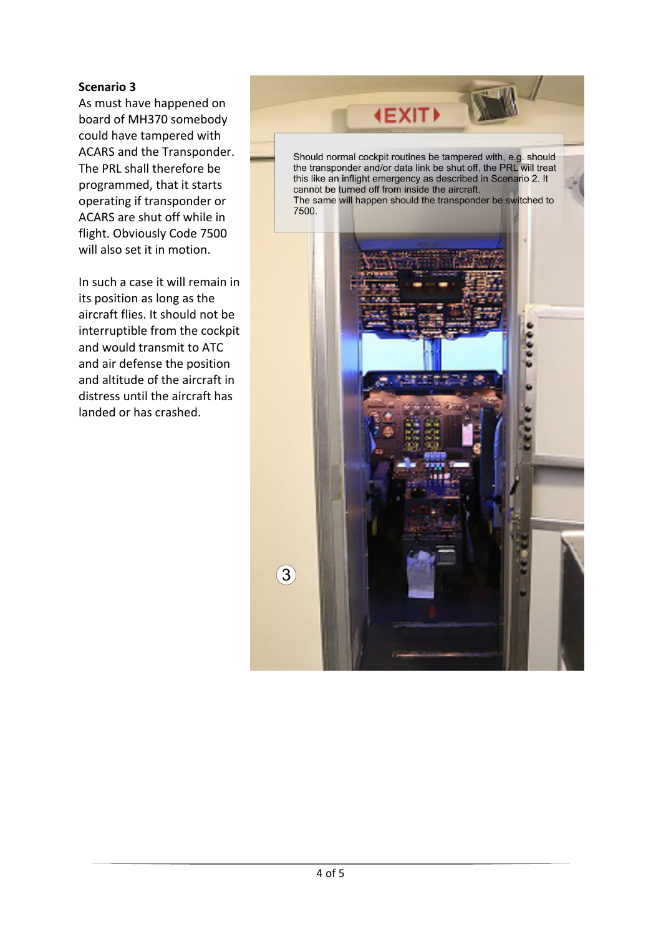#### **Scenario 3**

As must have happened on board of MH370 somebody could have tampered with ACARS and the Transponder. The PRL shall therefore be programmed, that it starts operating if transponder or ACARS are shut off while in flight. Obviously Code 7500 will also set it in motion.

In such a case it will remain in its position as long as the aircraft flies. It should not be interruptible from the cockpit and would transmit to ATC and air defense the position and altitude of the aircraft in distress until the aircraft has landed or has crashed.